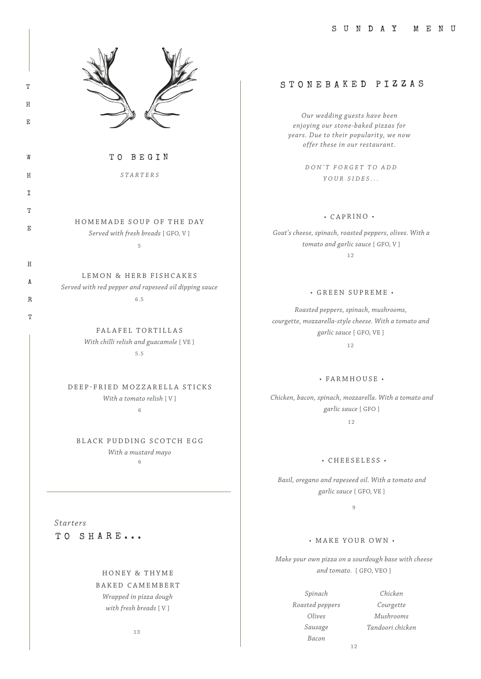

T

H

E

W

H

I

T

E

H

A

R

T

TO BEGIN

*STARTERS*

HOMEMADE SOUP OF THE DAY *Served with fresh breads* [ GFO, V ] 5

LEMON & HERB FISHCAKES

*Served with red pepper and rapeseed oil dipping sauce* 6.5

> FALAFEL TORTILLAS *With chilli relish and guacamole* [ VE ] 5.5

DEEP-FRIED MOZZARELLA STICKS *With a tomato relish* [ V ] 6

BLACK PUDDING SCOTCH EGG *With a mustard mayo* 6

TO SHARE... *Starters*

> HONEY & THYME BAKED CAMEMBERT *Wrapped in pizza dough with fresh breads* [ V ]

> > 13

# STONEBAKED PIZZAS

*Our wedding guests have been enjoying our stone-baked pizzas for years. Due to their popularity, we now offer these in our restaurant.*

> *D O N ' T F O R G E T T O A D D YOUR SIDES...*

### • CAPRINO •

*Goat's cheese, spinach, roasted peppers, olives. With a tomato and garlic sauce* [ GFO, V ] 12

#### • GREEN SUPREME •

*Roasted peppers, spinach, mushrooms, courgette, mozzarella-style cheese. With a tomato and garlic sauce* [ GFO, VE ] 12

#### • FARMHOUSE •

*Chicken, bacon, spinach, mozzarella. With a tomato and garlic sauce* [ GFO ]

12

#### • CHEESELESS •

*Basil, oregano and rapeseed oil. With a tomato and garlic sauce* [ GFO, VE ]

9

#### • MAKE YOUR OWN •

*Make your own pizza on a sourdough base with cheese and tomato.* [ GFO, VEO ]

> *Spinach Roasted peppers Olives Sausage Bacon*

*Chicken Courgette Mushrooms Tandoori chicken*

 $12$